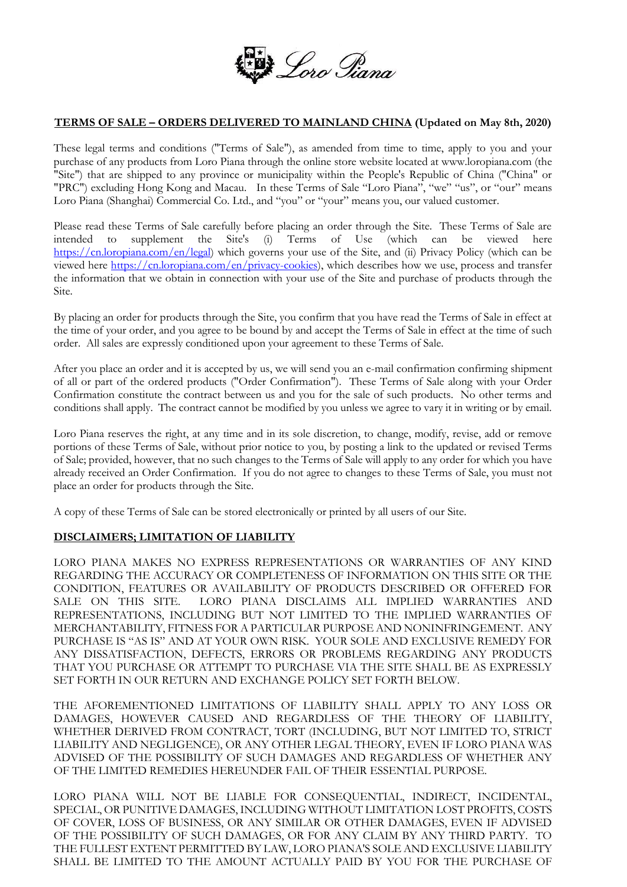

## **TERMS OF SALE – ORDERS DELIVERED TO MAINLAND CHINA (Updated on May 8th, 2020)**

These legal terms and conditions ("Terms of Sale"), as amended from time to time, apply to you and your purchase of any products from Loro Piana through the online store website located at www.loropiana.com (the "Site") that are shipped to any province or municipality within the People's Republic of China ("China" or "PRC") excluding Hong Kong and Macau. In these Terms of Sale "Loro Piana", "we" "us", or "our" means Loro Piana (Shanghai) Commercial Co. Ltd., and "you" or "your" means you, our valued customer.

Please read these Terms of Sale carefully before placing an order through the Site. These Terms of Sale are intended to supplement the Site's (i) Terms of Use (which can be viewed here [https://cn.loropiana.com/en/legal\)](https://cn.loropiana.com/en/legal) which governs your use of the Site, and (ii) Privacy Policy (which can be viewed here [https://cn.loropiana.com/en/privacy-cookies\)](https://cn.loropiana.com/en/privacy-cookies), which describes how we use, process and transfer the information that we obtain in connection with your use of the Site and purchase of products through the Site.

By placing an order for products through the Site, you confirm that you have read the Terms of Sale in effect at the time of your order, and you agree to be bound by and accept the Terms of Sale in effect at the time of such order. All sales are expressly conditioned upon your agreement to these Terms of Sale.

After you place an order and it is accepted by us, we will send you an e-mail confirmation confirming shipment of all or part of the ordered products ("Order Confirmation"). These Terms of Sale along with your Order Confirmation constitute the contract between us and you for the sale of such products. No other terms and conditions shall apply. The contract cannot be modified by you unless we agree to vary it in writing or by email.

Loro Piana reserves the right, at any time and in its sole discretion, to change, modify, revise, add or remove portions of these Terms of Sale, without prior notice to you, by posting a link to the updated or revised Terms of Sale; provided, however, that no such changes to the Terms of Sale will apply to any order for which you have already received an Order Confirmation. If you do not agree to changes to these Terms of Sale, you must not place an order for products through the Site.

A copy of these Terms of Sale can be stored electronically or printed by all users of our Site.

### **DISCLAIMERS; LIMITATION OF LIABILITY**

LORO PIANA MAKES NO EXPRESS REPRESENTATIONS OR WARRANTIES OF ANY KIND REGARDING THE ACCURACY OR COMPLETENESS OF INFORMATION ON THIS SITE OR THE CONDITION, FEATURES OR AVAILABILITY OF PRODUCTS DESCRIBED OR OFFERED FOR SALE ON THIS SITE. LORO PIANA DISCLAIMS ALL IMPLIED WARRANTIES AND REPRESENTATIONS, INCLUDING BUT NOT LIMITED TO THE IMPLIED WARRANTIES OF MERCHANTABILITY, FITNESS FOR A PARTICULAR PURPOSE AND NONINFRINGEMENT. ANY PURCHASE IS "AS IS" AND AT YOUR OWN RISK. YOUR SOLE AND EXCLUSIVE REMEDY FOR ANY DISSATISFACTION, DEFECTS, ERRORS OR PROBLEMS REGARDING ANY PRODUCTS THAT YOU PURCHASE OR ATTEMPT TO PURCHASE VIA THE SITE SHALL BE AS EXPRESSLY SET FORTH IN OUR RETURN AND EXCHANGE POLICY SET FORTH BELOW.

THE AFOREMENTIONED LIMITATIONS OF LIABILITY SHALL APPLY TO ANY LOSS OR DAMAGES, HOWEVER CAUSED AND REGARDLESS OF THE THEORY OF LIABILITY, WHETHER DERIVED FROM CONTRACT, TORT (INCLUDING, BUT NOT LIMITED TO, STRICT LIABILITY AND NEGLIGENCE), OR ANY OTHER LEGAL THEORY, EVEN IF LORO PIANA WAS ADVISED OF THE POSSIBILITY OF SUCH DAMAGES AND REGARDLESS OF WHETHER ANY OF THE LIMITED REMEDIES HEREUNDER FAIL OF THEIR ESSENTIAL PURPOSE.

LORO PIANA WILL NOT BE LIABLE FOR CONSEQUENTIAL, INDIRECT, INCIDENTAL, SPECIAL, OR PUNITIVE DAMAGES, INCLUDING WITHOUT LIMITATION LOST PROFITS, COSTS OF COVER, LOSS OF BUSINESS, OR ANY SIMILAR OR OTHER DAMAGES, EVEN IF ADVISED OF THE POSSIBILITY OF SUCH DAMAGES, OR FOR ANY CLAIM BY ANY THIRD PARTY. TO THE FULLEST EXTENT PERMITTED BY LAW, LORO PIANA'S SOLE AND EXCLUSIVE LIABILITY SHALL BE LIMITED TO THE AMOUNT ACTUALLY PAID BY YOU FOR THE PURCHASE OF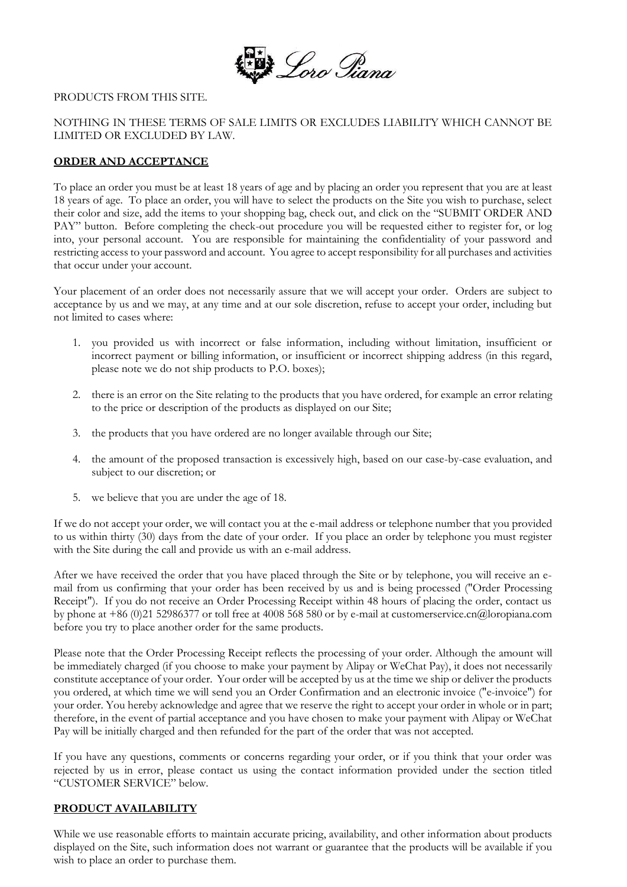

#### PRODUCTS FROM THIS SITE.

## NOTHING IN THESE TERMS OF SALE LIMITS OR EXCLUDES LIABILITY WHICH CANNOT BE LIMITED OR EXCLUDED BY LAW.

## **ORDER AND ACCEPTANCE**

To place an order you must be at least 18 years of age and by placing an order you represent that you are at least 18 years of age. To place an order, you will have to select the products on the Site you wish to purchase, select their color and size, add the items to your shopping bag, check out, and click on the "SUBMIT ORDER AND PAY" button. Before completing the check-out procedure you will be requested either to register for, or log into, your personal account. You are responsible for maintaining the confidentiality of your password and restricting access to your password and account. You agree to accept responsibility for all purchases and activities that occur under your account.

Your placement of an order does not necessarily assure that we will accept your order. Orders are subject to acceptance by us and we may, at any time and at our sole discretion, refuse to accept your order, including but not limited to cases where:

- 1. you provided us with incorrect or false information, including without limitation, insufficient or incorrect payment or billing information, or insufficient or incorrect shipping address (in this regard, please note we do not ship products to P.O. boxes);
- 2. there is an error on the Site relating to the products that you have ordered, for example an error relating to the price or description of the products as displayed on our Site;
- 3. the products that you have ordered are no longer available through our Site;
- 4. the amount of the proposed transaction is excessively high, based on our case-by-case evaluation, and subject to our discretion; or
- 5. we believe that you are under the age of 18.

If we do not accept your order, we will contact you at the e-mail address or telephone number that you provided to us within thirty (30) days from the date of your order. If you place an order by telephone you must register with the Site during the call and provide us with an e-mail address.

After we have received the order that you have placed through the Site or by telephone, you will receive an email from us confirming that your order has been received by us and is being processed ("Order Processing Receipt"). If you do not receive an Order Processing Receipt within 48 hours of placing the order, contact us by phone at +86 (0)21 52986377 or toll free at 4008 568 580 or by e-mail at customerservice.cn@loropiana.com before you try to place another order for the same products.

Please note that the Order Processing Receipt reflects the processing of your order. Although the amount will be immediately charged (if you choose to make your payment by Alipay or WeChat Pay), it does not necessarily constitute acceptance of your order. Your order will be accepted by us at the time we ship or deliver the products you ordered, at which time we will send you an Order Confirmation and an electronic invoice ("e-invoice") for your order. You hereby acknowledge and agree that we reserve the right to accept your order in whole or in part; therefore, in the event of partial acceptance and you have chosen to make your payment with Alipay or WeChat Pay will be initially charged and then refunded for the part of the order that was not accepted.

If you have any questions, comments or concerns regarding your order, or if you think that your order was rejected by us in error, please contact us using the contact information provided under the section titled "CUSTOMER SERVICE" below.

### **PRODUCT AVAILABILITY**

While we use reasonable efforts to maintain accurate pricing, availability, and other information about products displayed on the Site, such information does not warrant or guarantee that the products will be available if you wish to place an order to purchase them.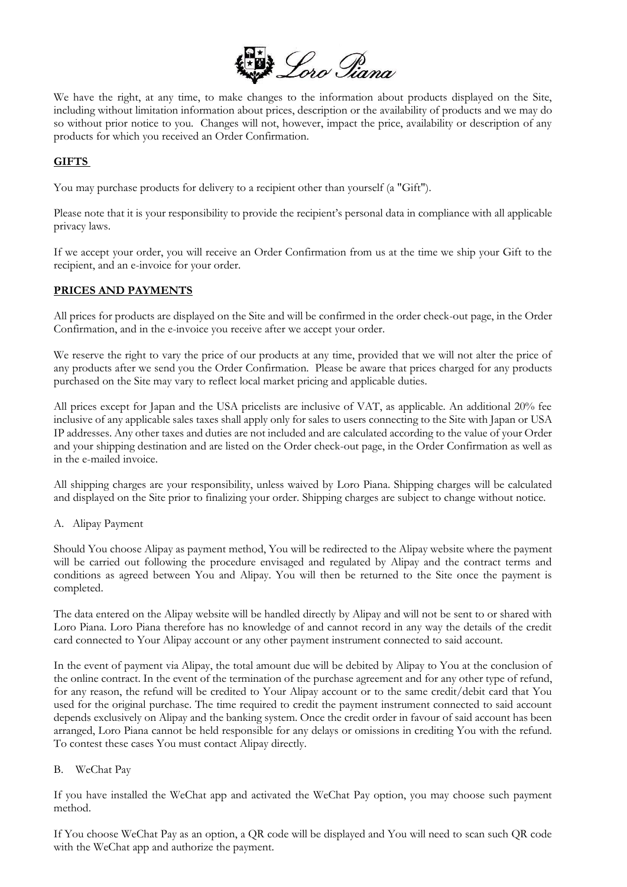

We have the right, at any time, to make changes to the information about products displayed on the Site, including without limitation information about prices, description or the availability of products and we may do so without prior notice to you. Changes will not, however, impact the price, availability or description of any products for which you received an Order Confirmation.

# **GIFTS**

You may purchase products for delivery to a recipient other than yourself (a "Gift").

Please note that it is your responsibility to provide the recipient's personal data in compliance with all applicable privacy laws.

If we accept your order, you will receive an Order Confirmation from us at the time we ship your Gift to the recipient, and an e-invoice for your order.

### **PRICES AND PAYMENTS**

All prices for products are displayed on the Site and will be confirmed in the order check-out page, in the Order Confirmation, and in the e-invoice you receive after we accept your order.

We reserve the right to vary the price of our products at any time, provided that we will not alter the price of any products after we send you the Order Confirmation. Please be aware that prices charged for any products purchased on the Site may vary to reflect local market pricing and applicable duties.

All prices except for Japan and the USA pricelists are inclusive of VAT, as applicable. An additional 20% fee inclusive of any applicable sales taxes shall apply only for sales to users connecting to the Site with Japan or USA IP addresses. Any other taxes and duties are not included and are calculated according to the value of your Order and your shipping destination and are listed on the Order check-out page, in the Order Confirmation as well as in the e-mailed invoice.

All shipping charges are your responsibility, unless waived by Loro Piana. Shipping charges will be calculated and displayed on the Site prior to finalizing your order. Shipping charges are subject to change without notice.

A. Alipay Payment

Should You choose Alipay as payment method, You will be redirected to the Alipay website where the payment will be carried out following the procedure envisaged and regulated by Alipay and the contract terms and conditions as agreed between You and Alipay. You will then be returned to the Site once the payment is completed.

The data entered on the Alipay website will be handled directly by Alipay and will not be sent to or shared with Loro Piana. Loro Piana therefore has no knowledge of and cannot record in any way the details of the credit card connected to Your Alipay account or any other payment instrument connected to said account.

In the event of payment via Alipay, the total amount due will be debited by Alipay to You at the conclusion of the online contract. In the event of the termination of the purchase agreement and for any other type of refund, for any reason, the refund will be credited to Your Alipay account or to the same credit/debit card that You used for the original purchase. The time required to credit the payment instrument connected to said account depends exclusively on Alipay and the banking system. Once the credit order in favour of said account has been arranged, Loro Piana cannot be held responsible for any delays or omissions in crediting You with the refund. To contest these cases You must contact Alipay directly.

### B. WeChat Pay

If you have installed the WeChat app and activated the WeChat Pay option, you may choose such payment method.

If You choose WeChat Pay as an option, a QR code will be displayed and You will need to scan such QR code with the WeChat app and authorize the payment.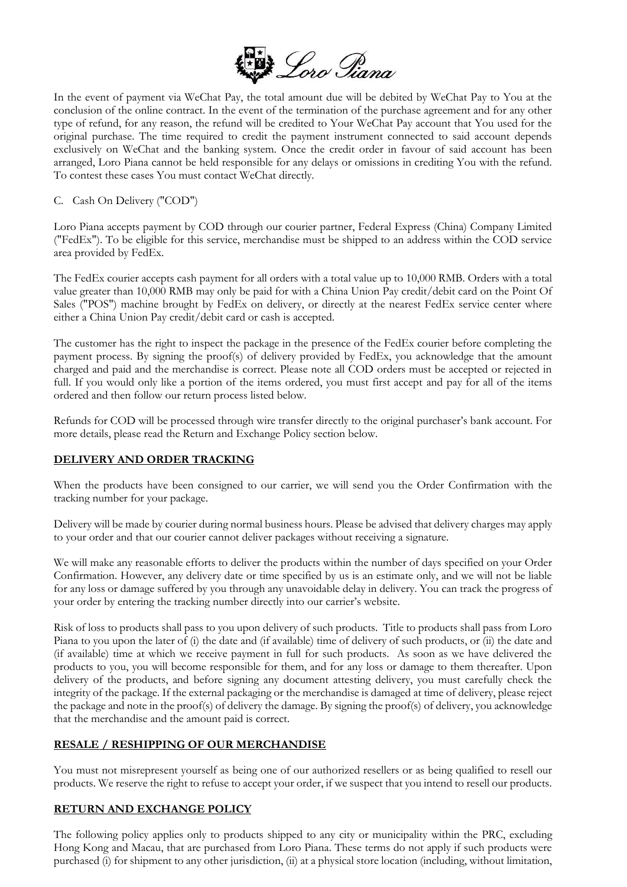

In the event of payment via WeChat Pay, the total amount due will be debited by WeChat Pay to You at the conclusion of the online contract. In the event of the termination of the purchase agreement and for any other type of refund, for any reason, the refund will be credited to Your WeChat Pay account that You used for the original purchase. The time required to credit the payment instrument connected to said account depends exclusively on WeChat and the banking system. Once the credit order in favour of said account has been arranged, Loro Piana cannot be held responsible for any delays or omissions in crediting You with the refund. To contest these cases You must contact WeChat directly.

### C. Cash On Delivery ("COD")

Loro Piana accepts payment by COD through our courier partner, Federal Express (China) Company Limited ("FedEx"). To be eligible for this service, merchandise must be shipped to an address within the COD service area provided by FedEx.

The FedEx courier accepts cash payment for all orders with a total value up to 10,000 RMB. Orders with a total value greater than 10,000 RMB may only be paid for with a China Union Pay credit/debit card on the Point Of Sales ("POS") machine brought by FedEx on delivery, or directly at the nearest FedEx service center where either a China Union Pay credit/debit card or cash is accepted.

The customer has the right to inspect the package in the presence of the FedEx courier before completing the payment process. By signing the proof(s) of delivery provided by FedEx, you acknowledge that the amount charged and paid and the merchandise is correct. Please note all COD orders must be accepted or rejected in full. If you would only like a portion of the items ordered, you must first accept and pay for all of the items ordered and then follow our return process listed below.

Refunds for COD will be processed through wire transfer directly to the original purchaser's bank account. For more details, please read the Return and Exchange Policy section below.

# **DELIVERY AND ORDER TRACKING**

When the products have been consigned to our carrier, we will send you the Order Confirmation with the tracking number for your package.

Delivery will be made by courier during normal business hours. Please be advised that delivery charges may apply to your order and that our courier cannot deliver packages without receiving a signature.

We will make any reasonable efforts to deliver the products within the number of days specified on your Order Confirmation. However, any delivery date or time specified by us is an estimate only, and we will not be liable for any loss or damage suffered by you through any unavoidable delay in delivery. You can track the progress of your order by entering the tracking number directly into our carrier's website.

Risk of loss to products shall pass to you upon delivery of such products. Title to products shall pass from Loro Piana to you upon the later of (i) the date and (if available) time of delivery of such products, or (ii) the date and (if available) time at which we receive payment in full for such products. As soon as we have delivered the products to you, you will become responsible for them, and for any loss or damage to them thereafter. Upon delivery of the products, and before signing any document attesting delivery, you must carefully check the integrity of the package. If the external packaging or the merchandise is damaged at time of delivery, please reject the package and note in the proof(s) of delivery the damage. By signing the proof(s) of delivery, you acknowledge that the merchandise and the amount paid is correct.

# **RESALE / RESHIPPING OF OUR MERCHANDISE**

You must not misrepresent yourself as being one of our authorized resellers or as being qualified to resell our products. We reserve the right to refuse to accept your order, if we suspect that you intend to resell our products.

# **RETURN AND EXCHANGE POLICY**

The following policy applies only to products shipped to any city or municipality within the PRC, excluding Hong Kong and Macau, that are purchased from Loro Piana. These terms do not apply if such products were purchased (i) for shipment to any other jurisdiction, (ii) at a physical store location (including, without limitation,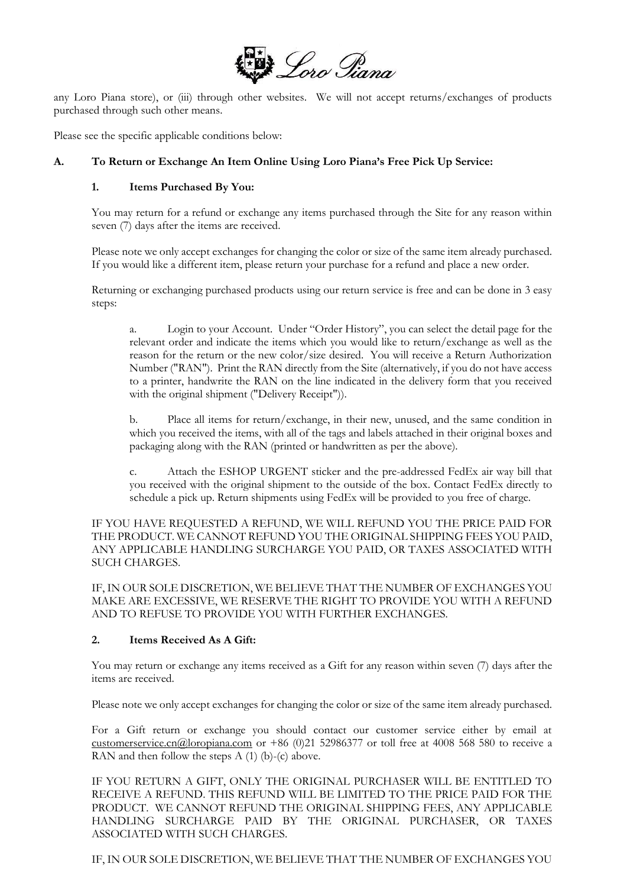

any Loro Piana store), or (iii) through other websites. We will not accept returns/exchanges of products purchased through such other means.

Please see the specific applicable conditions below:

## **A. To Return or Exchange An Item Online Using Loro Piana's Free Pick Up Service:**

### **1. Items Purchased By You:**

You may return for a refund or exchange any items purchased through the Site for any reason within seven (7) days after the items are received.

Please note we only accept exchanges for changing the color or size of the same item already purchased. If you would like a different item, please return your purchase for a refund and place a new order.

Returning or exchanging purchased products using our return service is free and can be done in 3 easy steps:

Login to your Account. Under "Order History", you can select the detail page for the relevant order and indicate the items which you would like to return/exchange as well as the reason for the return or the new color/size desired. You will receive a Return Authorization Number ("RAN"). Print the RAN directly from the Site (alternatively, if you do not have access to a printer, handwrite the RAN on the line indicated in the delivery form that you received with the original shipment ("Delivery Receipt")).

b. Place all items for return/exchange, in their new, unused, and the same condition in which you received the items, with all of the tags and labels attached in their original boxes and packaging along with the RAN (printed or handwritten as per the above).

Attach the ESHOP URGENT sticker and the pre-addressed FedEx air way bill that you received with the original shipment to the outside of the box. Contact FedEx directly to schedule a pick up. Return shipments using FedEx will be provided to you free of charge.

IF YOU HAVE REQUESTED A REFUND, WE WILL REFUND YOU THE PRICE PAID FOR THE PRODUCT. WE CANNOT REFUND YOU THE ORIGINAL SHIPPING FEES YOU PAID, ANY APPLICABLE HANDLING SURCHARGE YOU PAID, OR TAXES ASSOCIATED WITH SUCH CHARGES.

IF, IN OUR SOLE DISCRETION, WE BELIEVE THAT THE NUMBER OF EXCHANGES YOU MAKE ARE EXCESSIVE, WE RESERVE THE RIGHT TO PROVIDE YOU WITH A REFUND AND TO REFUSE TO PROVIDE YOU WITH FURTHER EXCHANGES.

## **2. Items Received As A Gift:**

You may return or exchange any items received as a Gift for any reason within seven (7) days after the items are received.

Please note we only accept exchanges for changing the color or size of the same item already purchased.

For a Gift return or exchange you should contact our customer service either by email at [customerservice.cn@loropiana.com](mailto:customerservice.cn@loropiana.com) or +86 (0)21 52986377 or toll free at 4008 568 580 to receive a RAN and then follow the steps  $A(1)(b)-(c)$  above.

IF YOU RETURN A GIFT, ONLY THE ORIGINAL PURCHASER WILL BE ENTITLED TO RECEIVE A REFUND. THIS REFUND WILL BE LIMITED TO THE PRICE PAID FOR THE PRODUCT. WE CANNOT REFUND THE ORIGINAL SHIPPING FEES, ANY APPLICABLE HANDLING SURCHARGE PAID BY THE ORIGINAL PURCHASER, OR TAXES ASSOCIATED WITH SUCH CHARGES.

IF, IN OUR SOLE DISCRETION, WE BELIEVE THAT THE NUMBER OF EXCHANGES YOU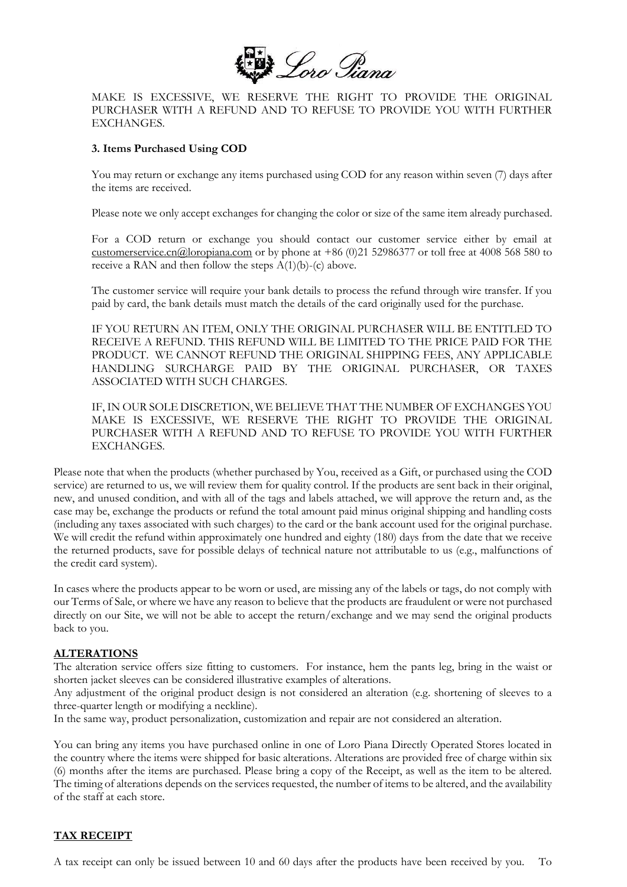

MAKE IS EXCESSIVE, WE RESERVE THE RIGHT TO PROVIDE THE ORIGINAL PURCHASER WITH A REFUND AND TO REFUSE TO PROVIDE YOU WITH FURTHER EXCHANGES.

#### **3. Items Purchased Using COD**

You may return or exchange any items purchased using COD for any reason within seven (7) days after the items are received.

Please note we only accept exchanges for changing the color or size of the same item already purchased.

For a COD return or exchange you should contact our customer service either by email at [customerservice.cn@loropiana.com](mailto:customerservice.cn@loropiana.com) or by phone at +86 (0)21 52986377 or toll free at 4008 568 580 to receive a RAN and then follow the steps  $A(1)(b)$ -(c) above.

The customer service will require your bank details to process the refund through wire transfer. If you paid by card, the bank details must match the details of the card originally used for the purchase.

IF YOU RETURN AN ITEM, ONLY THE ORIGINAL PURCHASER WILL BE ENTITLED TO RECEIVE A REFUND. THIS REFUND WILL BE LIMITED TO THE PRICE PAID FOR THE PRODUCT. WE CANNOT REFUND THE ORIGINAL SHIPPING FEES, ANY APPLICABLE HANDLING SURCHARGE PAID BY THE ORIGINAL PURCHASER, OR TAXES ASSOCIATED WITH SUCH CHARGES.

IF, IN OUR SOLE DISCRETION, WE BELIEVE THAT THE NUMBER OF EXCHANGES YOU MAKE IS EXCESSIVE, WE RESERVE THE RIGHT TO PROVIDE THE ORIGINAL PURCHASER WITH A REFUND AND TO REFUSE TO PROVIDE YOU WITH FURTHER EXCHANGES.

Please note that when the products (whether purchased by You, received as a Gift, or purchased using the COD service) are returned to us, we will review them for quality control. If the products are sent back in their original, new, and unused condition, and with all of the tags and labels attached, we will approve the return and, as the case may be, exchange the products or refund the total amount paid minus original shipping and handling costs (including any taxes associated with such charges) to the card or the bank account used for the original purchase. We will credit the refund within approximately one hundred and eighty (180) days from the date that we receive the returned products, save for possible delays of technical nature not attributable to us (e.g., malfunctions of the credit card system).

In cases where the products appear to be worn or used, are missing any of the labels or tags, do not comply with our Terms of Sale, or where we have any reason to believe that the products are fraudulent or were not purchased directly on our Site, we will not be able to accept the return/exchange and we may send the original products back to you.

### **ALTERATIONS**

The alteration service offers size fitting to customers. For instance, hem the pants leg, bring in the waist or shorten jacket sleeves can be considered illustrative examples of alterations.

Any adjustment of the original product design is not considered an alteration (e.g. shortening of sleeves to a three-quarter length or modifying a neckline).

In the same way, product personalization, customization and repair are not considered an alteration.

You can bring any items you have purchased online in one of Loro Piana Directly Operated Stores located in the country where the items were shipped for basic alterations. Alterations are provided free of charge within six (6) months after the items are purchased. Please bring a copy of the Receipt, as well as the item to be altered. The timing of alterations depends on the services requested, the number of items to be altered, and the availability of the staff at each store.

### **TAX RECEIPT**

A tax receipt can only be issued between 10 and 60 days after the products have been received by you. To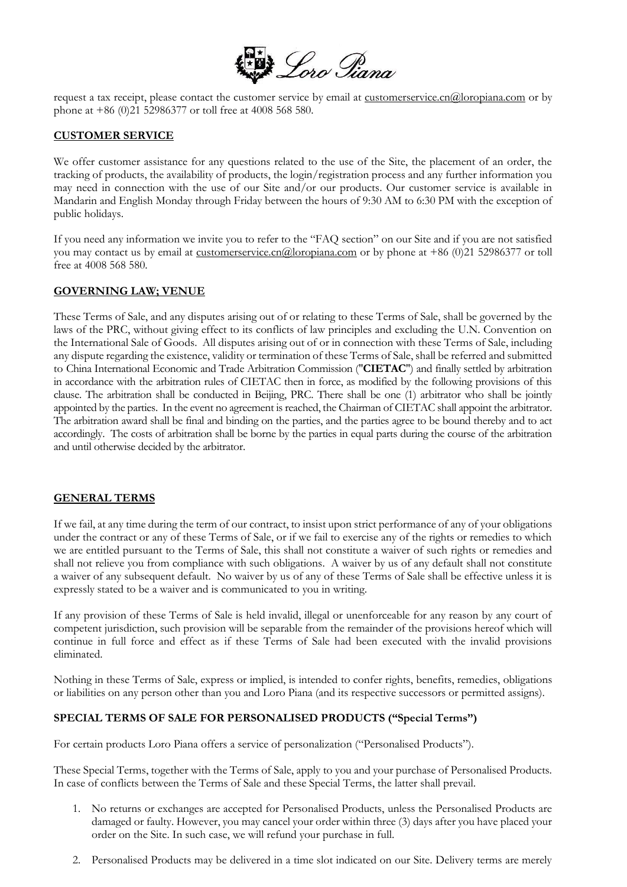

request a tax receipt, please contact the customer service by email at <u>[customerservice.cn@loropiana.com](mailto:customerservice.cn@loropiana.com)</u> or by phone at +86 (0)21 52986377 or toll free at 4008 568 580.

### **CUSTOMER SERVICE**

We offer customer assistance for any questions related to the use of the Site, the placement of an order, the tracking of products, the availability of products, the login/registration process and any further information you may need in connection with the use of our Site and/or our products. Our customer service is available in Mandarin and English Monday through Friday between the hours of 9:30 AM to 6:30 PM with the exception of public holidays.

If you need any information we invite you to refer to the "FAQ section" on our Site and if you are not satisfied you may contact us by email at [customerservice.cn@loropiana.com](mailto:customerservice.cn@loropiana.com) or by phone at +86 (0)21 52986377 or toll free at 4008 568 580.

#### **GOVERNING LAW; VENUE**

These Terms of Sale, and any disputes arising out of or relating to these Terms of Sale, shall be governed by the laws of the PRC, without giving effect to its conflicts of law principles and excluding the U.N. Convention on the International Sale of Goods. All disputes arising out of or in connection with these Terms of Sale, including any dispute regarding the existence, validity or termination of these Terms of Sale, shall be referred and submitted to China International Economic and Trade Arbitration Commission ("**CIETAC**") and finally settled by arbitration in accordance with the arbitration rules of CIETAC then in force, as modified by the following provisions of this clause. The arbitration shall be conducted in Beijing, PRC. There shall be one (1) arbitrator who shall be jointly appointed by the parties. In the event no agreement is reached, the Chairman of CIETAC shall appoint the arbitrator. The arbitration award shall be final and binding on the parties, and the parties agree to be bound thereby and to act accordingly. The costs of arbitration shall be borne by the parties in equal parts during the course of the arbitration and until otherwise decided by the arbitrator.

#### **GENERAL TERMS**

If we fail, at any time during the term of our contract, to insist upon strict performance of any of your obligations under the contract or any of these Terms of Sale, or if we fail to exercise any of the rights or remedies to which we are entitled pursuant to the Terms of Sale, this shall not constitute a waiver of such rights or remedies and shall not relieve you from compliance with such obligations. A waiver by us of any default shall not constitute a waiver of any subsequent default. No waiver by us of any of these Terms of Sale shall be effective unless it is expressly stated to be a waiver and is communicated to you in writing.

If any provision of these Terms of Sale is held invalid, illegal or unenforceable for any reason by any court of competent jurisdiction, such provision will be separable from the remainder of the provisions hereof which will continue in full force and effect as if these Terms of Sale had been executed with the invalid provisions eliminated.

Nothing in these Terms of Sale, express or implied, is intended to confer rights, benefits, remedies, obligations or liabilities on any person other than you and Loro Piana (and its respective successors or permitted assigns).

### **SPECIAL TERMS OF SALE FOR PERSONALISED PRODUCTS ("Special Terms")**

For certain products Loro Piana offers a service of personalization ("Personalised Products").

These Special Terms, together with the Terms of Sale, apply to you and your purchase of Personalised Products. In case of conflicts between the Terms of Sale and these Special Terms, the latter shall prevail.

- 1. No returns or exchanges are accepted for Personalised Products, unless the Personalised Products are damaged or faulty. However, you may cancel your order within three (3) days after you have placed your order on the Site. In such case, we will refund your purchase in full.
- 2. Personalised Products may be delivered in a time slot indicated on our Site. Delivery terms are merely